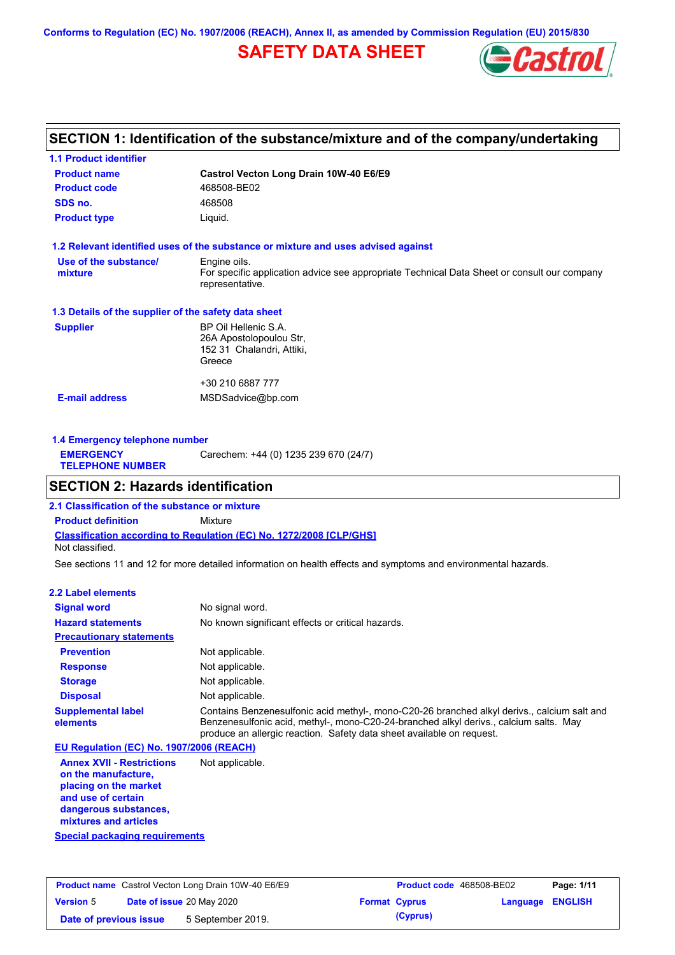**Conforms to Regulation (EC) No. 1907/2006 (REACH), Annex II, as amended by Commission Regulation (EU) 2015/830**

## **SAFETY DATA SHEET**



## **SECTION 1: Identification of the substance/mixture and of the company/undertaking**

| <b>1.1 Product identifier</b>                        |                                                                                                                |  |  |  |
|------------------------------------------------------|----------------------------------------------------------------------------------------------------------------|--|--|--|
| <b>Product name</b>                                  | Castrol Vecton Long Drain 10W-40 E6/E9                                                                         |  |  |  |
| <b>Product code</b>                                  | 468508-BE02                                                                                                    |  |  |  |
| SDS no.                                              | 468508                                                                                                         |  |  |  |
| <b>Product type</b>                                  | Liquid.                                                                                                        |  |  |  |
|                                                      | 1.2 Relevant identified uses of the substance or mixture and uses advised against                              |  |  |  |
| Use of the substance/                                | Engine oils.                                                                                                   |  |  |  |
| mixture                                              | For specific application advice see appropriate Technical Data Sheet or consult our company<br>representative. |  |  |  |
| 1.3 Details of the supplier of the safety data sheet |                                                                                                                |  |  |  |
| <b>Supplier</b>                                      | BP Oil Hellenic S.A.                                                                                           |  |  |  |
|                                                      | 26A Apostolopoulou Str,                                                                                        |  |  |  |
|                                                      | 152 31 Chalandri, Attiki,                                                                                      |  |  |  |
|                                                      | Greece                                                                                                         |  |  |  |
|                                                      | +30 210 6887 777                                                                                               |  |  |  |
| <b>E-mail address</b>                                | MSDSadvice@bp.com                                                                                              |  |  |  |
|                                                      |                                                                                                                |  |  |  |
|                                                      |                                                                                                                |  |  |  |

| 1.4 Emergency telephone number              |                                       |  |  |  |
|---------------------------------------------|---------------------------------------|--|--|--|
| <b>EMERGENCY</b><br><b>TELEPHONE NUMBER</b> | Carechem: +44 (0) 1235 239 670 (24/7) |  |  |  |

## **SECTION 2: Hazards identification**

**Classification according to Regulation (EC) No. 1272/2008 [CLP/GHS] 2.1 Classification of the substance or mixture Product definition** Mixture Not classified.

See sections 11 and 12 for more detailed information on health effects and symptoms and environmental hazards.

### **2.2 Label elements**

| <b>Signal word</b>                       | No signal word.                                                                                                                                                                                                                                               |
|------------------------------------------|---------------------------------------------------------------------------------------------------------------------------------------------------------------------------------------------------------------------------------------------------------------|
| <b>Hazard statements</b>                 | No known significant effects or critical hazards.                                                                                                                                                                                                             |
| <b>Precautionary statements</b>          |                                                                                                                                                                                                                                                               |
| <b>Prevention</b>                        | Not applicable.                                                                                                                                                                                                                                               |
| <b>Response</b>                          | Not applicable.                                                                                                                                                                                                                                               |
| <b>Storage</b>                           | Not applicable.                                                                                                                                                                                                                                               |
| <b>Disposal</b>                          | Not applicable.                                                                                                                                                                                                                                               |
| <b>Supplemental label</b><br>elements    | Contains Benzenesulfonic acid methyl-, mono-C20-26 branched alkyl derivs., calcium salt and<br>Benzenesulfonic acid, methyl-, mono-C20-24-branched alkyl derivs., calcium salts. May<br>produce an allergic reaction. Safety data sheet available on request. |
| EU Regulation (EC) No. 1907/2006 (REACH) |                                                                                                                                                                                                                                                               |
| <b>Annex XVII - Restrictions</b>         | Not applicable.                                                                                                                                                                                                                                               |

**Annex XVII - Restrictions on the manufacture, placing on the market and use of certain dangerous substances, mixtures and articles**

**Special packaging requirements**

| <b>Product name</b> Castrol Vecton Long Drain 10W-40 E6/E9 |  |                                  | <b>Product code</b> 468508-BE02 |                         | Page: 1/11 |
|------------------------------------------------------------|--|----------------------------------|---------------------------------|-------------------------|------------|
| <b>Version 5</b>                                           |  | <b>Date of issue 20 May 2020</b> | <b>Format Cyprus</b>            | <b>Language ENGLISH</b> |            |
| Date of previous issue                                     |  | 5 September 2019.                | (Cyprus)                        |                         |            |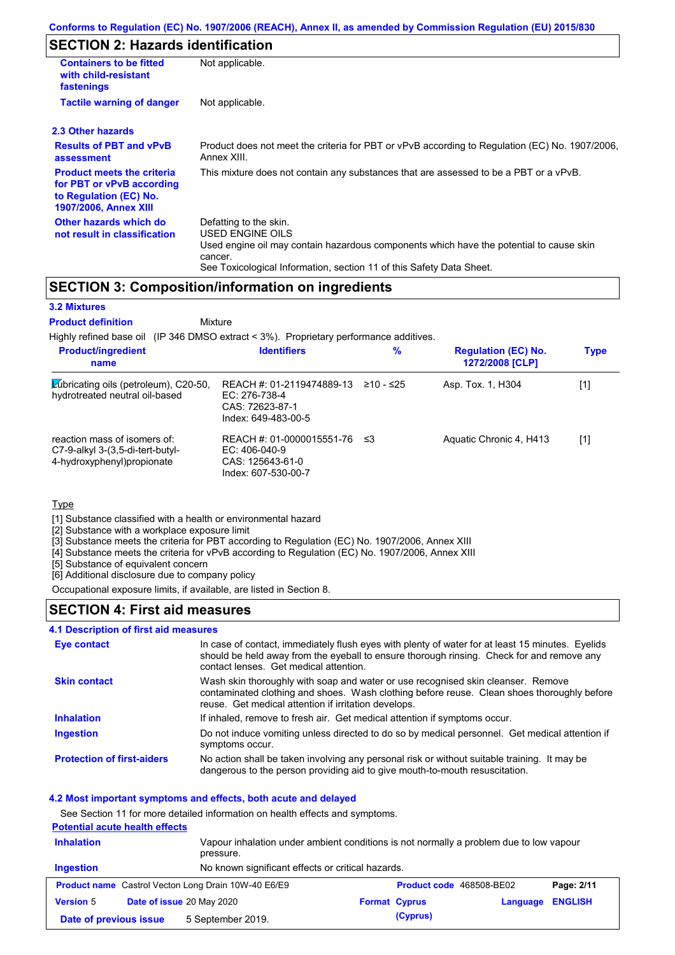## **SECTION 2: Hazards identification**

| <b>Containers to be fitted</b><br>with child-resistant<br>fastenings                                                     | Not applicable.                                                                                                                                                                                                          |  |
|--------------------------------------------------------------------------------------------------------------------------|--------------------------------------------------------------------------------------------------------------------------------------------------------------------------------------------------------------------------|--|
| <b>Tactile warning of danger</b><br>Not applicable.                                                                      |                                                                                                                                                                                                                          |  |
| 2.3 Other hazards                                                                                                        |                                                                                                                                                                                                                          |  |
| <b>Results of PBT and vPvB</b><br>assessment                                                                             | Product does not meet the criteria for PBT or vPvB according to Regulation (EC) No. 1907/2006,<br>Annex XIII.                                                                                                            |  |
| <b>Product meets the criteria</b><br>for PBT or vPvB according<br>to Regulation (EC) No.<br><b>1907/2006, Annex XIII</b> | This mixture does not contain any substances that are assessed to be a PBT or a vPvB.                                                                                                                                    |  |
| Other hazards which do<br>not result in classification                                                                   | Defatting to the skin.<br>USED ENGINE OILS<br>Used engine oil may contain hazardous components which have the potential to cause skin<br>cancer.<br>See Toxicological Information, section 11 of this Safety Data Sheet. |  |

### **SECTION 3: Composition/information on ingredients**

### **3.2 Mixtures**

**Mixture Product definition**

Highly refined base oil (IP 346 DMSO extract < 3%). Proprietary performance additives.

| <b>Product/ingredient</b><br>name                                                                 | <b>Identifiers</b>                                                                         | %         | <b>Regulation (EC) No.</b><br>1272/2008 [CLP] | <b>Type</b> |
|---------------------------------------------------------------------------------------------------|--------------------------------------------------------------------------------------------|-----------|-----------------------------------------------|-------------|
| <b>Zubricating oils (petroleum), C20-50,</b><br>hydrotreated neutral oil-based                    | REACH #: 01-2119474889-13<br>EC: 276-738-4<br>CAS: 72623-87-1<br>Index: 649-483-00-5       | ≥10 - ≤25 | Asp. Tox. 1, H304                             | [1]         |
| reaction mass of isomers of:<br>$C7-9-alkyl$ 3-(3,5-di-tert-butyl-<br>4-hydroxyphenyl) propionate | REACH #: 01-0000015551-76 ≤3<br>$EC: 406-040-9$<br>CAS: 125643-61-0<br>Index: 607-530-00-7 |           | Aquatic Chronic 4, H413                       | [1]         |

#### **Type**

[1] Substance classified with a health or environmental hazard

[2] Substance with a workplace exposure limit

[3] Substance meets the criteria for PBT according to Regulation (EC) No. 1907/2006, Annex XIII

[4] Substance meets the criteria for vPvB according to Regulation (EC) No. 1907/2006, Annex XIII

[5] Substance of equivalent concern

[6] Additional disclosure due to company policy

Occupational exposure limits, if available, are listed in Section 8.

### **SECTION 4: First aid measures**

#### **4.1 Description of first aid measures**

| Eye contact                       | In case of contact, immediately flush eyes with plenty of water for at least 15 minutes. Eyelids<br>should be held away from the eyeball to ensure thorough rinsing. Check for and remove any<br>contact lenses. Get medical attention. |
|-----------------------------------|-----------------------------------------------------------------------------------------------------------------------------------------------------------------------------------------------------------------------------------------|
| <b>Skin contact</b>               | Wash skin thoroughly with soap and water or use recognised skin cleanser. Remove<br>contaminated clothing and shoes. Wash clothing before reuse. Clean shoes thoroughly before<br>reuse. Get medical attention if irritation develops.  |
| <b>Inhalation</b>                 | If inhaled, remove to fresh air. Get medical attention if symptoms occur.                                                                                                                                                               |
| <b>Ingestion</b>                  | Do not induce vomiting unless directed to do so by medical personnel. Get medical attention if<br>symptoms occur.                                                                                                                       |
| <b>Protection of first-aiders</b> | No action shall be taken involving any personal risk or without suitable training. It may be<br>dangerous to the person providing aid to give mouth-to-mouth resuscitation.                                                             |

#### **4.2 Most important symptoms and effects, both acute and delayed**

See Section 11 for more detailed information on health effects and symptoms.

|                   | <b>Potential acute health effects</b> |                                                                                                     |                      |                          |          |                |
|-------------------|---------------------------------------|-----------------------------------------------------------------------------------------------------|----------------------|--------------------------|----------|----------------|
| <b>Inhalation</b> |                                       | Vapour inhalation under ambient conditions is not normally a problem due to low vapour<br>pressure. |                      |                          |          |                |
| Ingestion         |                                       | No known significant effects or critical hazards.                                                   |                      |                          |          |                |
|                   |                                       | <b>Product name</b> Castrol Vecton Long Drain 10W-40 E6/E9                                          |                      | Product code 468508-BE02 |          | Page: 2/11     |
| <b>Version 5</b>  |                                       | Date of issue 20 May 2020                                                                           | <b>Format Cyprus</b> |                          | Language | <b>ENGLISH</b> |
|                   | Date of previous issue                | 5 September 2019.                                                                                   |                      | (Cyprus)                 |          |                |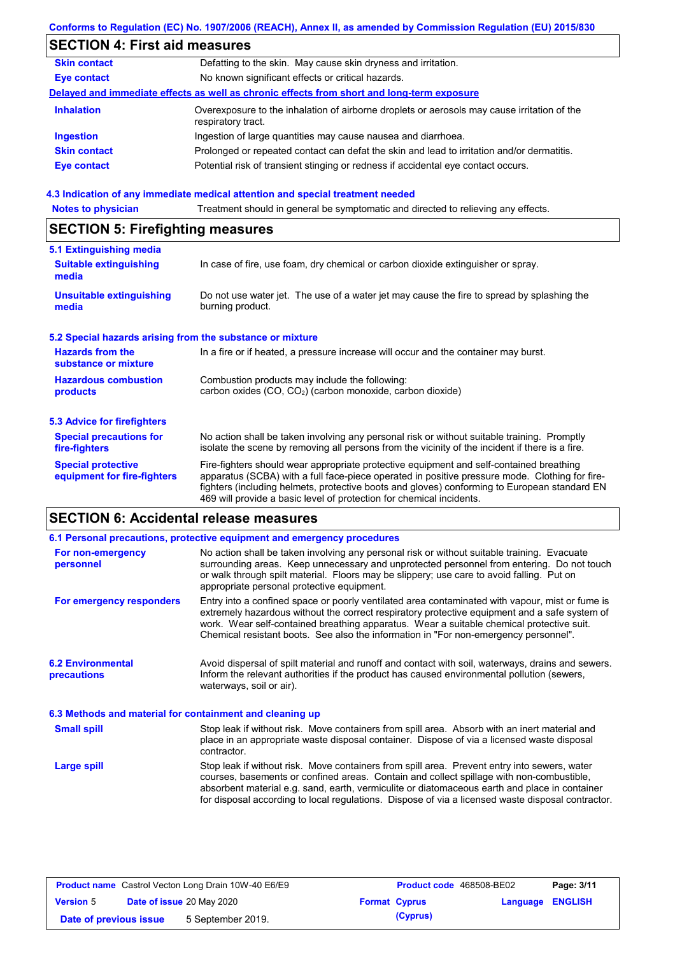|                                                           | Conforms to Regulation (EC) No. 1907/2006 (REACH), Annex II, as amended by Commission Regulation (EU) 2015/830                                                                                                                                                                                                                                                    |  |  |  |
|-----------------------------------------------------------|-------------------------------------------------------------------------------------------------------------------------------------------------------------------------------------------------------------------------------------------------------------------------------------------------------------------------------------------------------------------|--|--|--|
| <b>SECTION 4: First aid measures</b>                      |                                                                                                                                                                                                                                                                                                                                                                   |  |  |  |
| <b>Skin contact</b>                                       | Defatting to the skin. May cause skin dryness and irritation.                                                                                                                                                                                                                                                                                                     |  |  |  |
| <b>Eye contact</b>                                        | No known significant effects or critical hazards.                                                                                                                                                                                                                                                                                                                 |  |  |  |
|                                                           | Delayed and immediate effects as well as chronic effects from short and long-term exposure                                                                                                                                                                                                                                                                        |  |  |  |
| <b>Inhalation</b>                                         | Overexposure to the inhalation of airborne droplets or aerosols may cause irritation of the<br>respiratory tract.                                                                                                                                                                                                                                                 |  |  |  |
| <b>Ingestion</b>                                          | Ingestion of large quantities may cause nausea and diarrhoea.                                                                                                                                                                                                                                                                                                     |  |  |  |
| <b>Skin contact</b>                                       | Prolonged or repeated contact can defat the skin and lead to irritation and/or dermatitis.                                                                                                                                                                                                                                                                        |  |  |  |
| <b>Eye contact</b>                                        | Potential risk of transient stinging or redness if accidental eye contact occurs.                                                                                                                                                                                                                                                                                 |  |  |  |
|                                                           | 4.3 Indication of any immediate medical attention and special treatment needed                                                                                                                                                                                                                                                                                    |  |  |  |
| <b>Notes to physician</b>                                 | Treatment should in general be symptomatic and directed to relieving any effects.                                                                                                                                                                                                                                                                                 |  |  |  |
| <b>SECTION 5: Firefighting measures</b>                   |                                                                                                                                                                                                                                                                                                                                                                   |  |  |  |
| 5.1 Extinguishing media                                   |                                                                                                                                                                                                                                                                                                                                                                   |  |  |  |
| <b>Suitable extinguishing</b><br>media                    | In case of fire, use foam, dry chemical or carbon dioxide extinguisher or spray.                                                                                                                                                                                                                                                                                  |  |  |  |
| <b>Unsuitable extinguishing</b><br>media                  | Do not use water jet. The use of a water jet may cause the fire to spread by splashing the<br>burning product.                                                                                                                                                                                                                                                    |  |  |  |
| 5.2 Special hazards arising from the substance or mixture |                                                                                                                                                                                                                                                                                                                                                                   |  |  |  |
| <b>Hazards from the</b><br>substance or mixture           | In a fire or if heated, a pressure increase will occur and the container may burst.                                                                                                                                                                                                                                                                               |  |  |  |
| <b>Hazardous combustion</b><br>products                   | Combustion products may include the following:<br>carbon oxides (CO, CO <sub>2</sub> ) (carbon monoxide, carbon dioxide)                                                                                                                                                                                                                                          |  |  |  |
| <b>5.3 Advice for firefighters</b>                        |                                                                                                                                                                                                                                                                                                                                                                   |  |  |  |
| <b>Special precautions for</b><br>fire-fighters           | No action shall be taken involving any personal risk or without suitable training. Promptly<br>isolate the scene by removing all persons from the vicinity of the incident if there is a fire.                                                                                                                                                                    |  |  |  |
| <b>Special protective</b><br>equipment for fire-fighters  | Fire-fighters should wear appropriate protective equipment and self-contained breathing<br>apparatus (SCBA) with a full face-piece operated in positive pressure mode. Clothing for fire-<br>fighters (including helmets, protective boots and gloves) conforming to European standard EN<br>469 will provide a basic level of protection for chemical incidents. |  |  |  |

|                                                          | 6.1 Personal precautions, protective equipment and emergency procedures                                                                                                                                                                                                                                                                                                                        |
|----------------------------------------------------------|------------------------------------------------------------------------------------------------------------------------------------------------------------------------------------------------------------------------------------------------------------------------------------------------------------------------------------------------------------------------------------------------|
| For non-emergency<br>personnel                           | No action shall be taken involving any personal risk or without suitable training. Evacuate<br>surrounding areas. Keep unnecessary and unprotected personnel from entering. Do not touch<br>or walk through spilt material. Floors may be slippery; use care to avoid falling. Put on<br>appropriate personal protective equipment.                                                            |
| For emergency responders                                 | Entry into a confined space or poorly ventilated area contaminated with vapour, mist or fume is<br>extremely hazardous without the correct respiratory protective equipment and a safe system of<br>work. Wear self-contained breathing apparatus. Wear a suitable chemical protective suit.<br>Chemical resistant boots. See also the information in "For non-emergency personnel".           |
| <b>6.2 Environmental</b><br>precautions                  | Avoid dispersal of spilt material and runoff and contact with soil, waterways, drains and sewers.<br>Inform the relevant authorities if the product has caused environmental pollution (sewers,<br>waterways, soil or air).                                                                                                                                                                    |
| 6.3 Methods and material for containment and cleaning up |                                                                                                                                                                                                                                                                                                                                                                                                |
| <b>Small spill</b>                                       | Stop leak if without risk. Move containers from spill area. Absorb with an inert material and<br>place in an appropriate waste disposal container. Dispose of via a licensed waste disposal<br>contractor.                                                                                                                                                                                     |
| Large spill                                              | Stop leak if without risk. Move containers from spill area. Prevent entry into sewers, water<br>courses, basements or confined areas. Contain and collect spillage with non-combustible,<br>absorbent material e.g. sand, earth, vermiculite or diatomaceous earth and place in container<br>for disposal according to local regulations. Dispose of via a licensed waste disposal contractor. |

| <b>Product name</b> Castrol Vecton Long Drain 10W-40 E6/E9 |  |                           | <b>Product code</b> 468508-BE02 |                      | Page: 3/11              |  |
|------------------------------------------------------------|--|---------------------------|---------------------------------|----------------------|-------------------------|--|
| <b>Version 5</b>                                           |  | Date of issue 20 May 2020 |                                 | <b>Format Cyprus</b> | <b>Language ENGLISH</b> |  |
| Date of previous issue                                     |  | 5 September 2019.         |                                 | (Cyprus)             |                         |  |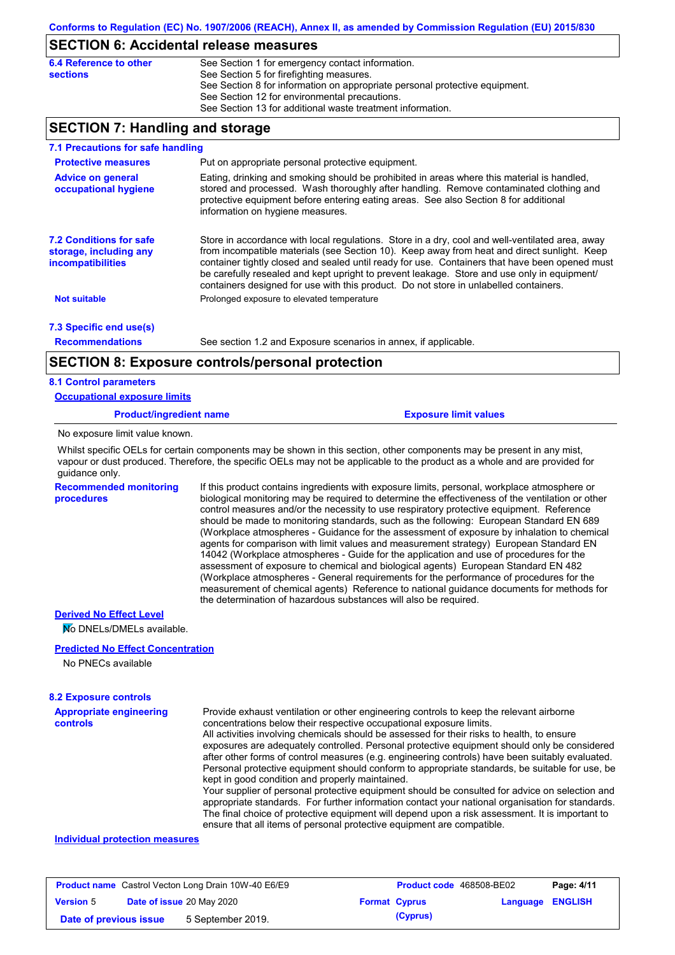### **SECTION 6: Accidental release measures**

| 6.4 Reference to other | See Section 1 for emergency contact information.                            |
|------------------------|-----------------------------------------------------------------------------|
| <b>sections</b>        | See Section 5 for firefighting measures.                                    |
|                        | See Section 8 for information on appropriate personal protective equipment. |
|                        | See Section 12 for environmental precautions.                               |
|                        | See Section 13 for additional waste treatment information.                  |

## **SECTION 7: Handling and storage**

| 7.1 Precautions for safe handling                                                    |                                                                                                                                                                                                                                                                                                                                                                                                                                                                                          |
|--------------------------------------------------------------------------------------|------------------------------------------------------------------------------------------------------------------------------------------------------------------------------------------------------------------------------------------------------------------------------------------------------------------------------------------------------------------------------------------------------------------------------------------------------------------------------------------|
| <b>Protective measures</b>                                                           | Put on appropriate personal protective equipment.                                                                                                                                                                                                                                                                                                                                                                                                                                        |
| <b>Advice on general</b><br>occupational hygiene                                     | Eating, drinking and smoking should be prohibited in areas where this material is handled,<br>stored and processed. Wash thoroughly after handling. Remove contaminated clothing and<br>protective equipment before entering eating areas. See also Section 8 for additional<br>information on hygiene measures.                                                                                                                                                                         |
| <b>7.2 Conditions for safe</b><br>storage, including any<br><i>incompatibilities</i> | Store in accordance with local regulations. Store in a dry, cool and well-ventilated area, away<br>from incompatible materials (see Section 10). Keep away from heat and direct sunlight. Keep<br>container tightly closed and sealed until ready for use. Containers that have been opened must<br>be carefully resealed and kept upright to prevent leakage. Store and use only in equipment/<br>containers designed for use with this product. Do not store in unlabelled containers. |
| <b>Not suitable</b>                                                                  | Prolonged exposure to elevated temperature                                                                                                                                                                                                                                                                                                                                                                                                                                               |
| 7.3 Specific end use(s)                                                              |                                                                                                                                                                                                                                                                                                                                                                                                                                                                                          |
| <b>Recommendations</b>                                                               | See section 1.2 and Exposure scenarios in annex, if applicable.                                                                                                                                                                                                                                                                                                                                                                                                                          |
|                                                                                      | <b>SECTION 8: Exposure controls/personal protection</b>                                                                                                                                                                                                                                                                                                                                                                                                                                  |

#### **8.1 Control parameters**

|  | <b>Occupational exposure limits</b> |  |
|--|-------------------------------------|--|
|  |                                     |  |

**Product/ingredient name Exposure limit values** 

No exposure limit value known.

Whilst specific OELs for certain components may be shown in this section, other components may be present in any mist, vapour or dust produced. Therefore, the specific OELs may not be applicable to the product as a whole and are provided for guidance only.

**Recommended monitoring procedures**

If this product contains ingredients with exposure limits, personal, workplace atmosphere or biological monitoring may be required to determine the effectiveness of the ventilation or other control measures and/or the necessity to use respiratory protective equipment. Reference should be made to monitoring standards, such as the following: European Standard EN 689 (Workplace atmospheres - Guidance for the assessment of exposure by inhalation to chemical agents for comparison with limit values and measurement strategy) European Standard EN 14042 (Workplace atmospheres - Guide for the application and use of procedures for the assessment of exposure to chemical and biological agents) European Standard EN 482 (Workplace atmospheres - General requirements for the performance of procedures for the measurement of chemical agents) Reference to national guidance documents for methods for the determination of hazardous substances will also be required.

#### **Derived No Effect Level**

No DNELs/DMELs available.

#### **Predicted No Effect Concentration**

No PNECs available

#### **Appropriate engineering 8.2 Exposure controls**

| <b>Appropriate engineering</b> | Provide exhaust ventilation or other engineering controls to keep the relevant airborne          |
|--------------------------------|--------------------------------------------------------------------------------------------------|
| <b>controls</b>                | concentrations below their respective occupational exposure limits.                              |
|                                | All activities involving chemicals should be assessed for their risks to health, to ensure       |
|                                | exposures are adequately controlled. Personal protective equipment should only be considered     |
|                                | after other forms of control measures (e.g. engineering controls) have been suitably evaluated.  |
|                                | Personal protective equipment should conform to appropriate standards, be suitable for use, be   |
|                                | kept in good condition and properly maintained.                                                  |
|                                | Your supplier of personal protective equipment should be consulted for advice on selection and   |
|                                | appropriate standards. For further information contact your national organisation for standards. |
|                                | The final choice of protective equipment will depend upon a risk assessment. It is important to  |

#### ensure that all items of personal protective equipment are compatible.

#### **Individual protection measures**

| <b>Product name</b> Castrol Vecton Long Drain 10W-40 E6/E9 |                                                   | Product code 468508-BE02 |  | Page: 4/11              |  |  |
|------------------------------------------------------------|---------------------------------------------------|--------------------------|--|-------------------------|--|--|
| <b>Version 5</b>                                           | Date of issue 20 May 2020<br><b>Format Cyprus</b> |                          |  | <b>Language ENGLISH</b> |  |  |
| Date of previous issue<br>5 September 2019.                |                                                   |                          |  | (Cyprus)                |  |  |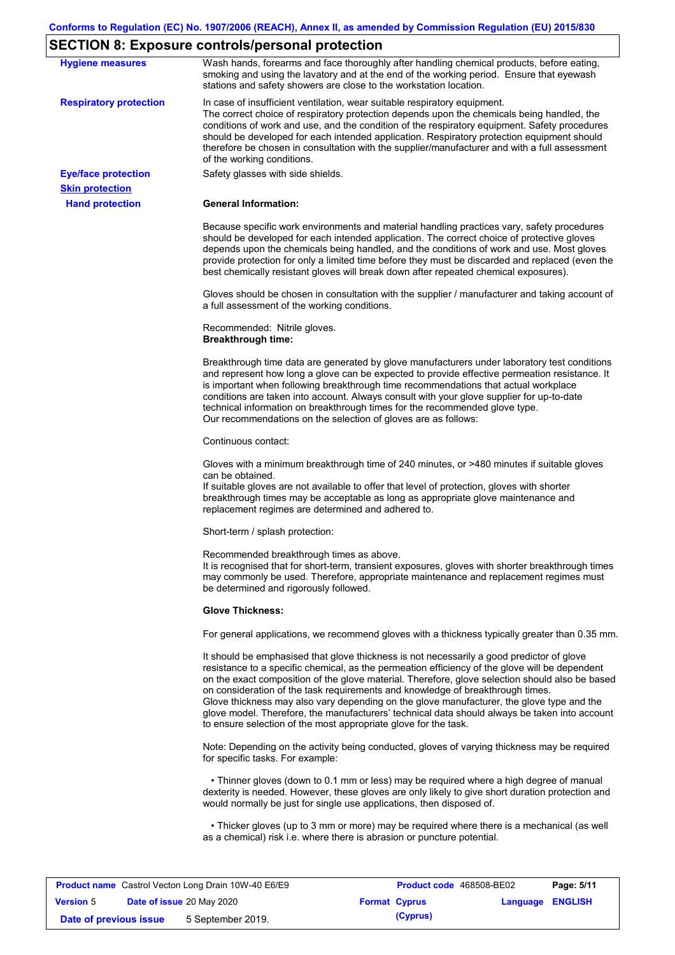# **SECTION 8: Exposure controls/personal protection**

|                               | LOTION 0. Exposure controls/personal protection                                                                                                                                                                                                                                                                                                                                                                                                                                                                                                                                                                                                   |
|-------------------------------|---------------------------------------------------------------------------------------------------------------------------------------------------------------------------------------------------------------------------------------------------------------------------------------------------------------------------------------------------------------------------------------------------------------------------------------------------------------------------------------------------------------------------------------------------------------------------------------------------------------------------------------------------|
| <b>Hygiene measures</b>       | Wash hands, forearms and face thoroughly after handling chemical products, before eating,<br>smoking and using the lavatory and at the end of the working period. Ensure that eyewash<br>stations and safety showers are close to the workstation location.                                                                                                                                                                                                                                                                                                                                                                                       |
| <b>Respiratory protection</b> | In case of insufficient ventilation, wear suitable respiratory equipment.<br>The correct choice of respiratory protection depends upon the chemicals being handled, the<br>conditions of work and use, and the condition of the respiratory equipment. Safety procedures<br>should be developed for each intended application. Respiratory protection equipment should<br>therefore be chosen in consultation with the supplier/manufacturer and with a full assessment<br>of the working conditions.                                                                                                                                             |
| <b>Eye/face protection</b>    | Safety glasses with side shields.                                                                                                                                                                                                                                                                                                                                                                                                                                                                                                                                                                                                                 |
| <b>Skin protection</b>        |                                                                                                                                                                                                                                                                                                                                                                                                                                                                                                                                                                                                                                                   |
| <b>Hand protection</b>        | <b>General Information:</b>                                                                                                                                                                                                                                                                                                                                                                                                                                                                                                                                                                                                                       |
|                               | Because specific work environments and material handling practices vary, safety procedures<br>should be developed for each intended application. The correct choice of protective gloves<br>depends upon the chemicals being handled, and the conditions of work and use. Most gloves<br>provide protection for only a limited time before they must be discarded and replaced (even the<br>best chemically resistant gloves will break down after repeated chemical exposures).                                                                                                                                                                  |
|                               | Gloves should be chosen in consultation with the supplier / manufacturer and taking account of<br>a full assessment of the working conditions.                                                                                                                                                                                                                                                                                                                                                                                                                                                                                                    |
|                               | Recommended: Nitrile gloves.<br><b>Breakthrough time:</b>                                                                                                                                                                                                                                                                                                                                                                                                                                                                                                                                                                                         |
|                               | Breakthrough time data are generated by glove manufacturers under laboratory test conditions<br>and represent how long a glove can be expected to provide effective permeation resistance. It<br>is important when following breakthrough time recommendations that actual workplace<br>conditions are taken into account. Always consult with your glove supplier for up-to-date<br>technical information on breakthrough times for the recommended glove type.<br>Our recommendations on the selection of gloves are as follows:                                                                                                                |
|                               | Continuous contact:                                                                                                                                                                                                                                                                                                                                                                                                                                                                                                                                                                                                                               |
|                               | Gloves with a minimum breakthrough time of 240 minutes, or >480 minutes if suitable gloves<br>can be obtained.<br>If suitable gloves are not available to offer that level of protection, gloves with shorter<br>breakthrough times may be acceptable as long as appropriate glove maintenance and<br>replacement regimes are determined and adhered to.                                                                                                                                                                                                                                                                                          |
|                               | Short-term / splash protection:                                                                                                                                                                                                                                                                                                                                                                                                                                                                                                                                                                                                                   |
|                               | Recommended breakthrough times as above.<br>It is recognised that for short-term, transient exposures, gloves with shorter breakthrough times<br>may commonly be used. Therefore, appropriate maintenance and replacement regimes must<br>be determined and rigorously followed.                                                                                                                                                                                                                                                                                                                                                                  |
|                               | <b>Glove Thickness:</b>                                                                                                                                                                                                                                                                                                                                                                                                                                                                                                                                                                                                                           |
|                               | For general applications, we recommend gloves with a thickness typically greater than 0.35 mm.                                                                                                                                                                                                                                                                                                                                                                                                                                                                                                                                                    |
|                               | It should be emphasised that glove thickness is not necessarily a good predictor of glove<br>resistance to a specific chemical, as the permeation efficiency of the glove will be dependent<br>on the exact composition of the glove material. Therefore, glove selection should also be based<br>on consideration of the task requirements and knowledge of breakthrough times.<br>Glove thickness may also vary depending on the glove manufacturer, the glove type and the<br>glove model. Therefore, the manufacturers' technical data should always be taken into account<br>to ensure selection of the most appropriate glove for the task. |
|                               | Note: Depending on the activity being conducted, gloves of varying thickness may be required<br>for specific tasks. For example:                                                                                                                                                                                                                                                                                                                                                                                                                                                                                                                  |
|                               | • Thinner gloves (down to 0.1 mm or less) may be required where a high degree of manual<br>dexterity is needed. However, these gloves are only likely to give short duration protection and<br>would normally be just for single use applications, then disposed of.                                                                                                                                                                                                                                                                                                                                                                              |
|                               | • Thicker gloves (up to 3 mm or more) may be required where there is a mechanical (as well<br>as a chemical) risk i.e. where there is abrasion or puncture potential.                                                                                                                                                                                                                                                                                                                                                                                                                                                                             |

| <b>Product name</b> Castrol Vecton Long Drain 10W-40 E6/E9 |  | Product code 468508-BE02         |  | Page: 5/11           |                         |  |
|------------------------------------------------------------|--|----------------------------------|--|----------------------|-------------------------|--|
| <b>Version 5</b>                                           |  | <b>Date of issue 20 May 2020</b> |  | <b>Format Cyprus</b> | <b>Language ENGLISH</b> |  |
| Date of previous issue                                     |  | 5 September 2019.                |  | (Cyprus)             |                         |  |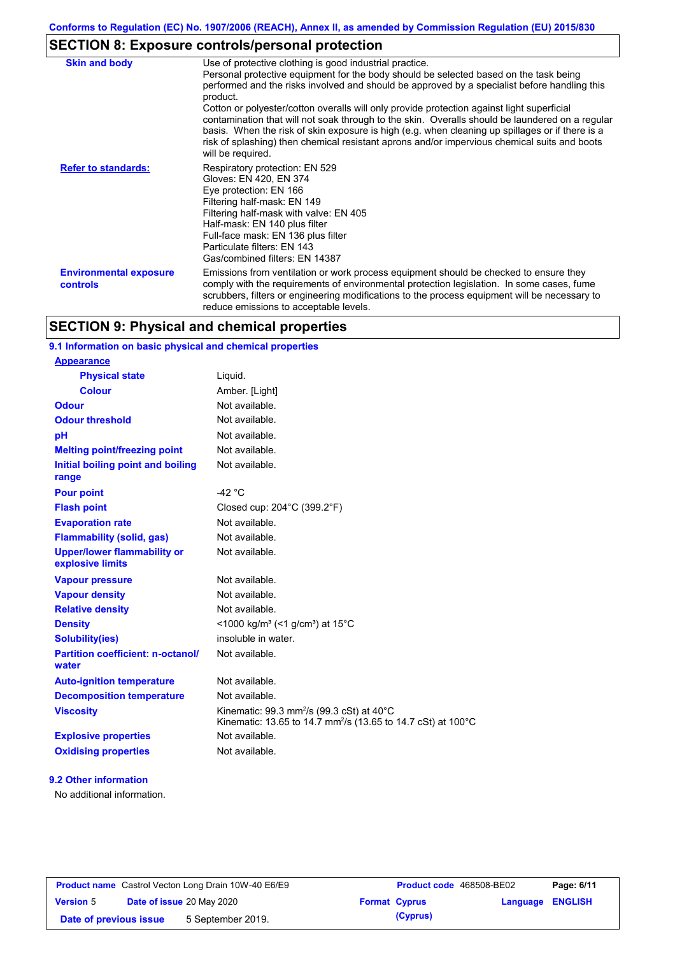# **SECTION 8: Exposure controls/personal protection**

| <b>Skin and body</b>                             | Use of protective clothing is good industrial practice.<br>Personal protective equipment for the body should be selected based on the task being<br>performed and the risks involved and should be approved by a specialist before handling this<br>product.<br>Cotton or polyester/cotton overalls will only provide protection against light superficial<br>contamination that will not soak through to the skin. Overalls should be laundered on a regular<br>basis. When the risk of skin exposure is high (e.g. when cleaning up spillages or if there is a<br>risk of splashing) then chemical resistant aprons and/or impervious chemical suits and boots<br>will be required. |
|--------------------------------------------------|---------------------------------------------------------------------------------------------------------------------------------------------------------------------------------------------------------------------------------------------------------------------------------------------------------------------------------------------------------------------------------------------------------------------------------------------------------------------------------------------------------------------------------------------------------------------------------------------------------------------------------------------------------------------------------------|
| <b>Refer to standards:</b>                       | Respiratory protection: EN 529<br>Gloves: EN 420, EN 374<br>Eye protection: EN 166<br>Filtering half-mask: EN 149<br>Filtering half-mask with valve: EN 405<br>Half-mask: EN 140 plus filter<br>Full-face mask: EN 136 plus filter<br>Particulate filters: EN 143<br>Gas/combined filters: EN 14387                                                                                                                                                                                                                                                                                                                                                                                   |
| <b>Environmental exposure</b><br><b>controls</b> | Emissions from ventilation or work process equipment should be checked to ensure they<br>comply with the requirements of environmental protection legislation. In some cases, fume<br>scrubbers, filters or engineering modifications to the process equipment will be necessary to<br>reduce emissions to acceptable levels.                                                                                                                                                                                                                                                                                                                                                         |

## **SECTION 9: Physical and chemical properties**

### **9.1 Information on basic physical and chemical properties**

| <b>Appearance</b>                                      |                                                                                                                                              |
|--------------------------------------------------------|----------------------------------------------------------------------------------------------------------------------------------------------|
| <b>Physical state</b>                                  | Liquid.                                                                                                                                      |
| Colour                                                 | Amber. [Light]                                                                                                                               |
| <b>Odour</b>                                           | Not available.                                                                                                                               |
| <b>Odour threshold</b>                                 | Not available.                                                                                                                               |
| pH                                                     | Not available.                                                                                                                               |
| <b>Melting point/freezing point</b>                    | Not available.                                                                                                                               |
| Initial boiling point and boiling<br>range             | Not available.                                                                                                                               |
| <b>Pour point</b>                                      | -42 $^{\circ}$ C                                                                                                                             |
| <b>Flash point</b>                                     | Closed cup: 204°C (399.2°F)                                                                                                                  |
| <b>Evaporation rate</b>                                | Not available.                                                                                                                               |
| <b>Flammability (solid, gas)</b>                       | Not available.                                                                                                                               |
| <b>Upper/lower flammability or</b><br>explosive limits | Not available.                                                                                                                               |
| <b>Vapour pressure</b>                                 | Not available.                                                                                                                               |
| <b>Vapour density</b>                                  | Not available.                                                                                                                               |
| <b>Relative density</b>                                | Not available.                                                                                                                               |
| <b>Density</b>                                         | <1000 kg/m <sup>3</sup> (<1 g/cm <sup>3</sup> ) at 15 <sup>°</sup> C                                                                         |
| <b>Solubility(ies)</b>                                 | insoluble in water.                                                                                                                          |
| <b>Partition coefficient: n-octanol/</b><br>water      | Not available.                                                                                                                               |
| <b>Auto-ignition temperature</b>                       | Not available.                                                                                                                               |
| <b>Decomposition temperature</b>                       | Not available.                                                                                                                               |
| <b>Viscosity</b>                                       | Kinematic: 99.3 mm <sup>2</sup> /s (99.3 cSt) at 40 $^{\circ}$ C<br>Kinematic: 13.65 to 14.7 mm <sup>2</sup> /s (13.65 to 14.7 cSt) at 100°C |
| <b>Explosive properties</b>                            | Not available.                                                                                                                               |
| <b>Oxidising properties</b>                            | Not available.                                                                                                                               |

#### **9.2 Other information**

No additional information.

| <b>Product name</b> Castrol Vecton Long Drain 10W-40 E6/E9 |                                  | <b>Product code</b> 468508-BE02 |                      | Page: 6/11              |  |  |
|------------------------------------------------------------|----------------------------------|---------------------------------|----------------------|-------------------------|--|--|
| <b>Version 5</b>                                           | <b>Date of issue 20 May 2020</b> |                                 | <b>Format Cyprus</b> | <b>Language ENGLISH</b> |  |  |
| 5 September 2019.<br>Date of previous issue                |                                  |                                 |                      | (Cyprus)                |  |  |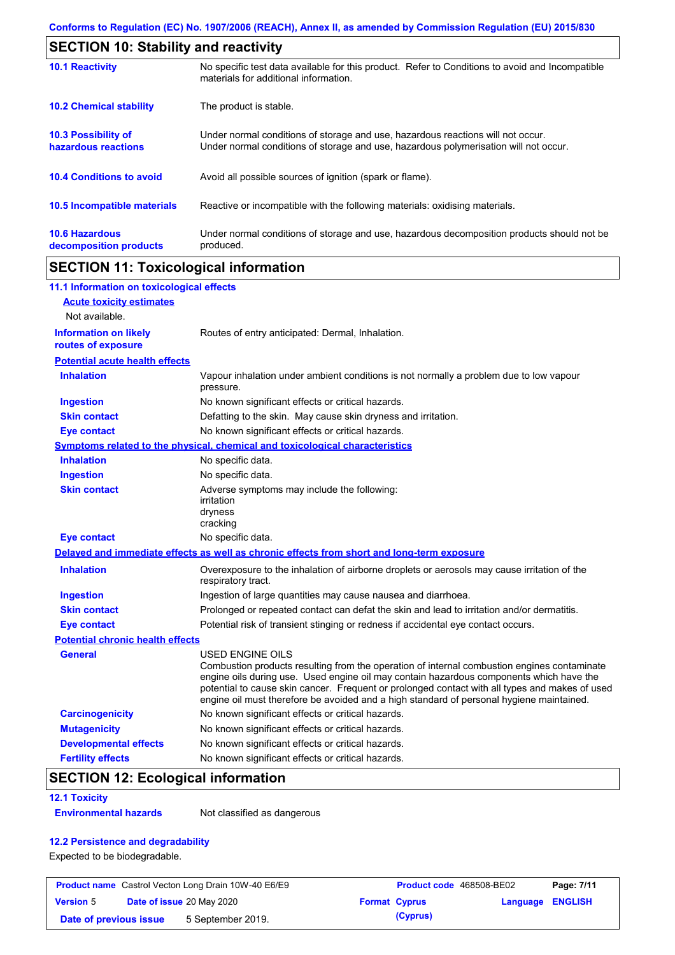| <b>SECTION 10: Stability and reactivity</b>       |                                                                                                                                                                         |
|---------------------------------------------------|-------------------------------------------------------------------------------------------------------------------------------------------------------------------------|
| <b>10.1 Reactivity</b>                            | No specific test data available for this product. Refer to Conditions to avoid and Incompatible<br>materials for additional information.                                |
| <b>10.2 Chemical stability</b>                    | The product is stable.                                                                                                                                                  |
| <b>10.3 Possibility of</b><br>hazardous reactions | Under normal conditions of storage and use, hazardous reactions will not occur.<br>Under normal conditions of storage and use, hazardous polymerisation will not occur. |
| <b>10.4 Conditions to avoid</b>                   | Avoid all possible sources of ignition (spark or flame).                                                                                                                |
| <b>10.5 Incompatible materials</b>                | Reactive or incompatible with the following materials: oxidising materials.                                                                                             |
| <b>10.6 Hazardous</b><br>decomposition products   | Under normal conditions of storage and use, hazardous decomposition products should not be<br>produced.                                                                 |

## **SECTION 11: Toxicological information**

| 11.1 Information on toxicological effects          |                                                                                                                                                                                                                                                                                                                                                                                                                 |
|----------------------------------------------------|-----------------------------------------------------------------------------------------------------------------------------------------------------------------------------------------------------------------------------------------------------------------------------------------------------------------------------------------------------------------------------------------------------------------|
| <b>Acute toxicity estimates</b>                    |                                                                                                                                                                                                                                                                                                                                                                                                                 |
| Not available.                                     |                                                                                                                                                                                                                                                                                                                                                                                                                 |
| <b>Information on likely</b><br>routes of exposure | Routes of entry anticipated: Dermal, Inhalation.                                                                                                                                                                                                                                                                                                                                                                |
| <b>Potential acute health effects</b>              |                                                                                                                                                                                                                                                                                                                                                                                                                 |
| <b>Inhalation</b>                                  | Vapour inhalation under ambient conditions is not normally a problem due to low vapour<br>pressure.                                                                                                                                                                                                                                                                                                             |
| <b>Ingestion</b>                                   | No known significant effects or critical hazards.                                                                                                                                                                                                                                                                                                                                                               |
| <b>Skin contact</b>                                | Defatting to the skin. May cause skin dryness and irritation.                                                                                                                                                                                                                                                                                                                                                   |
| <b>Eye contact</b>                                 | No known significant effects or critical hazards.                                                                                                                                                                                                                                                                                                                                                               |
|                                                    | <b>Symptoms related to the physical, chemical and toxicological characteristics</b>                                                                                                                                                                                                                                                                                                                             |
| <b>Inhalation</b>                                  | No specific data.                                                                                                                                                                                                                                                                                                                                                                                               |
| <b>Ingestion</b>                                   | No specific data.                                                                                                                                                                                                                                                                                                                                                                                               |
| <b>Skin contact</b>                                | Adverse symptoms may include the following:<br>irritation<br>dryness<br>cracking                                                                                                                                                                                                                                                                                                                                |
| <b>Eye contact</b>                                 | No specific data.                                                                                                                                                                                                                                                                                                                                                                                               |
|                                                    | Delayed and immediate effects as well as chronic effects from short and long-term exposure                                                                                                                                                                                                                                                                                                                      |
| <b>Inhalation</b>                                  | Overexposure to the inhalation of airborne droplets or aerosols may cause irritation of the<br>respiratory tract.                                                                                                                                                                                                                                                                                               |
| <b>Ingestion</b>                                   | Ingestion of large quantities may cause nausea and diarrhoea.                                                                                                                                                                                                                                                                                                                                                   |
| <b>Skin contact</b>                                | Prolonged or repeated contact can defat the skin and lead to irritation and/or dermatitis.                                                                                                                                                                                                                                                                                                                      |
| <b>Eye contact</b>                                 | Potential risk of transient stinging or redness if accidental eye contact occurs.                                                                                                                                                                                                                                                                                                                               |
| <b>Potential chronic health effects</b>            |                                                                                                                                                                                                                                                                                                                                                                                                                 |
| <b>General</b>                                     | <b>USED ENGINE OILS</b><br>Combustion products resulting from the operation of internal combustion engines contaminate<br>engine oils during use. Used engine oil may contain hazardous components which have the<br>potential to cause skin cancer. Frequent or prolonged contact with all types and makes of used<br>engine oil must therefore be avoided and a high standard of personal hygiene maintained. |
| <b>Carcinogenicity</b>                             | No known significant effects or critical hazards.                                                                                                                                                                                                                                                                                                                                                               |
| <b>Mutagenicity</b>                                | No known significant effects or critical hazards.                                                                                                                                                                                                                                                                                                                                                               |
| <b>Developmental effects</b>                       | No known significant effects or critical hazards.                                                                                                                                                                                                                                                                                                                                                               |
| <b>Fertility effects</b>                           | No known significant effects or critical hazards.                                                                                                                                                                                                                                                                                                                                                               |

## **SECTION 12: Ecological information**

#### **12.1 Toxicity**

**Environmental hazards** Not classified as dangerous

### **12.2 Persistence and degradability**

Expected to be biodegradable.

| <b>Product name</b> Castrol Vecton Long Drain 10W-40 E6/E9 |  |                   | <b>Product code</b> 468508-BE02 |                         | Page: 7/11 |  |
|------------------------------------------------------------|--|-------------------|---------------------------------|-------------------------|------------|--|
| <b>Date of issue 20 May 2020</b><br><b>Version 5</b>       |  |                   | <b>Format Cyprus</b>            | <b>Language ENGLISH</b> |            |  |
| Date of previous issue                                     |  | 5 September 2019. |                                 | (Cyprus)                |            |  |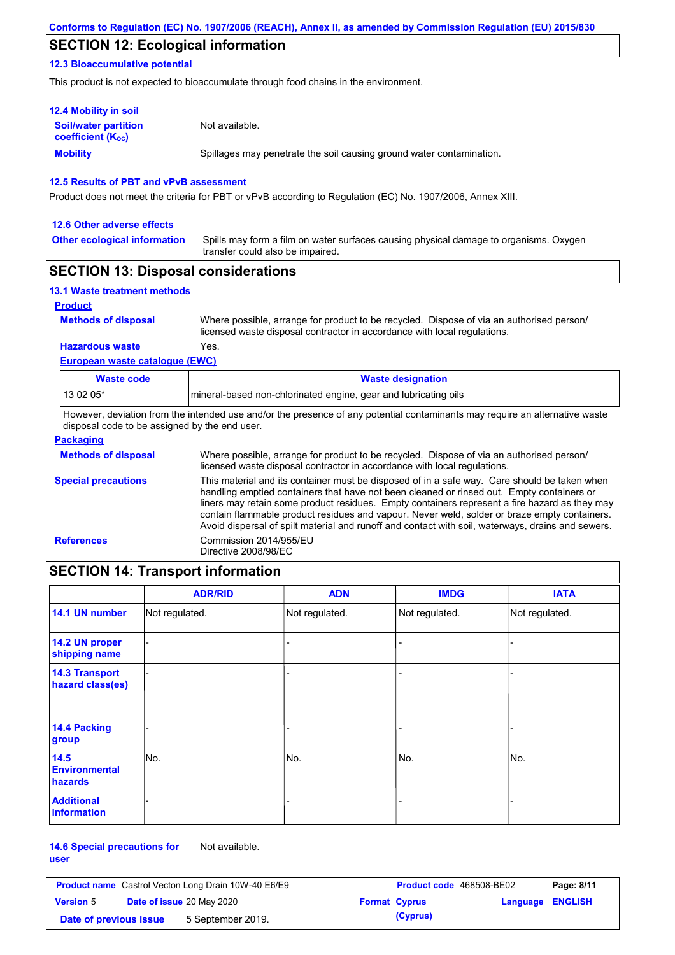## **SECTION 12: Ecological information**

### **12.3 Bioaccumulative potential**

This product is not expected to bioaccumulate through food chains in the environment.

| <b>12.4 Mobility in soil</b>                                  |                                                                      |
|---------------------------------------------------------------|----------------------------------------------------------------------|
| <b>Soil/water partition</b><br>coefficient (K <sub>oc</sub> ) | Not available.                                                       |
| <b>Mobility</b>                                               | Spillages may penetrate the soil causing ground water contamination. |

### **12.5 Results of PBT and vPvB assessment**

Product does not meet the criteria for PBT or vPvB according to Regulation (EC) No. 1907/2006, Annex XIII.

#### **12.6 Other adverse effects**

**Other ecological information**

Spills may form a film on water surfaces causing physical damage to organisms. Oxygen transfer could also be impaired.

### **SECTION 13: Disposal considerations**

| <b>13.1 Waste treatment methods</b> |                                                                                                                                                                      |
|-------------------------------------|----------------------------------------------------------------------------------------------------------------------------------------------------------------------|
| <b>Product</b>                      |                                                                                                                                                                      |
| <b>Methods of disposal</b>          | Where possible, arrange for product to be recycled. Dispose of via an authorised person/<br>licensed waste disposal contractor in accordance with local regulations. |
| <b>Hazardous waste</b>              | Yes.                                                                                                                                                                 |
| European waste catalogue (EWC)      |                                                                                                                                                                      |

| Waste code | <b>Waste designation</b>                                         |
|------------|------------------------------------------------------------------|
| 13 02 05*  | Imineral-based non-chlorinated engine, gear and lubricating oils |

However, deviation from the intended use and/or the presence of any potential contaminants may require an alternative waste disposal code to be assigned by the end user.

| <b>Packaging</b>           |                                                                                                                                                                                                                                                                                                                                                                                                                                                                                                 |
|----------------------------|-------------------------------------------------------------------------------------------------------------------------------------------------------------------------------------------------------------------------------------------------------------------------------------------------------------------------------------------------------------------------------------------------------------------------------------------------------------------------------------------------|
| <b>Methods of disposal</b> | Where possible, arrange for product to be recycled. Dispose of via an authorised person/<br>licensed waste disposal contractor in accordance with local regulations.                                                                                                                                                                                                                                                                                                                            |
| <b>Special precautions</b> | This material and its container must be disposed of in a safe way. Care should be taken when<br>handling emptied containers that have not been cleaned or rinsed out. Empty containers or<br>liners may retain some product residues. Empty containers represent a fire hazard as they may<br>contain flammable product residues and vapour. Never weld, solder or braze empty containers.<br>Avoid dispersal of spilt material and runoff and contact with soil, waterways, drains and sewers. |
| <b>References</b>          | Commission 2014/955/EU<br>Directive 2008/98/EC                                                                                                                                                                                                                                                                                                                                                                                                                                                  |

## **SECTION 14: Transport information**

|                                           | <b>ADR/RID</b> | <b>ADN</b>     | <b>IMDG</b>    | <b>IATA</b>    |
|-------------------------------------------|----------------|----------------|----------------|----------------|
| 14.1 UN number                            | Not regulated. | Not regulated. | Not regulated. | Not regulated. |
| 14.2 UN proper<br>shipping name           |                |                | -              |                |
| <b>14.3 Transport</b><br>hazard class(es) |                |                | -              |                |
| 14.4 Packing<br>group                     |                |                |                |                |
| 14.5<br><b>Environmental</b><br>hazards   | No.            | No.            | No.            | No.            |
| <b>Additional</b><br><b>information</b>   |                |                |                |                |

#### **14.6 Special precautions for user** Not available.

|                        | <b>Product name</b> Castrol Vecton Long Drain 10W-40 E6/E9 | Product code 468508-BE02 |                  | Page: 8/11 |
|------------------------|------------------------------------------------------------|--------------------------|------------------|------------|
| <b>Version 5</b>       | <b>Date of issue 20 May 2020</b>                           | <b>Format Cyprus</b>     | Language ENGLISH |            |
| Date of previous issue | 5 September 2019.                                          | (Cyprus)                 |                  |            |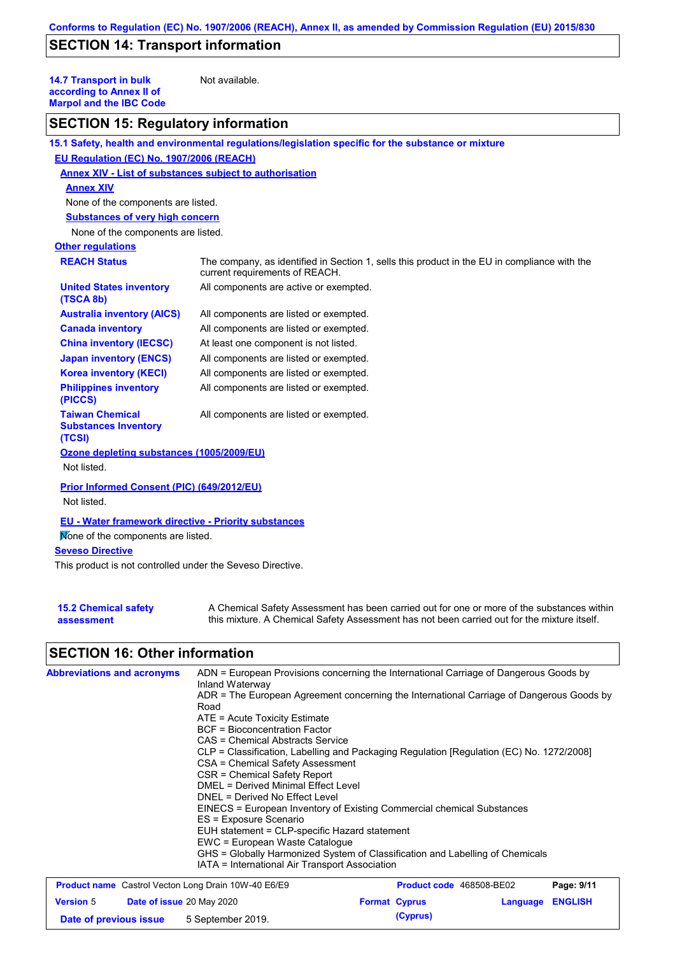## **SECTION 14: Transport information**

**14.7 Transport in bulk according to Annex II of Marpol and the IBC Code**

Not available.

## **SECTION 15: Regulatory information**

|                                                                 | 15.1 Safety, health and environmental regulations/legislation specific for the substance or mixture                            |
|-----------------------------------------------------------------|--------------------------------------------------------------------------------------------------------------------------------|
| EU Regulation (EC) No. 1907/2006 (REACH)                        |                                                                                                                                |
| Annex XIV - List of substances subject to authorisation         |                                                                                                                                |
| <b>Annex XIV</b>                                                |                                                                                                                                |
| None of the components are listed.                              |                                                                                                                                |
| <b>Substances of very high concern</b>                          |                                                                                                                                |
| None of the components are listed.                              |                                                                                                                                |
| <b>Other regulations</b>                                        |                                                                                                                                |
| <b>REACH Status</b>                                             | The company, as identified in Section 1, sells this product in the EU in compliance with the<br>current requirements of REACH. |
| <b>United States inventory</b><br>(TSCA 8b)                     | All components are active or exempted.                                                                                         |
| <b>Australia inventory (AICS)</b>                               | All components are listed or exempted.                                                                                         |
| <b>Canada inventory</b>                                         | All components are listed or exempted.                                                                                         |
| <b>China inventory (IECSC)</b>                                  | At least one component is not listed.                                                                                          |
| <b>Japan inventory (ENCS)</b>                                   | All components are listed or exempted.                                                                                         |
| <b>Korea inventory (KECI)</b>                                   | All components are listed or exempted.                                                                                         |
| <b>Philippines inventory</b><br>(PICCS)                         | All components are listed or exempted.                                                                                         |
| <b>Taiwan Chemical</b><br><b>Substances Inventory</b><br>(TCSI) | All components are listed or exempted.                                                                                         |
| Ozone depleting substances (1005/2009/EU)                       |                                                                                                                                |
| Not listed.                                                     |                                                                                                                                |
| Prior Informed Consent (PIC) (649/2012/EU)                      |                                                                                                                                |
| Not listed.                                                     |                                                                                                                                |
| <b>EU - Water framework directive - Priority substances</b>     |                                                                                                                                |
| Mone of the components are listed.                              |                                                                                                                                |
| <b>Seveso Directive</b>                                         |                                                                                                                                |
| This product is not controlled under the Seveso Directive.      |                                                                                                                                |

| <b>15.2 Chemical safety</b> | A Chemical Safety Assessment has been carried out for one or more of the substances within  |
|-----------------------------|---------------------------------------------------------------------------------------------|
| assessment                  | this mixture. A Chemical Safety Assessment has not been carried out for the mixture itself. |

## **SECTION 16: Other information**

| <b>Abbreviations and acronyms</b>                          | ADN = European Provisions concerning the International Carriage of Dangerous Goods by<br>Inland Waterway<br>ADR = The European Agreement concerning the International Carriage of Dangerous Goods by<br>Road<br>$ATE = Acute Toxicity Estimate$<br><b>BCF</b> = Bioconcentration Factor<br>CAS = Chemical Abstracts Service<br>CLP = Classification, Labelling and Packaging Regulation [Regulation (EC) No. 1272/2008]<br>CSA = Chemical Safety Assessment<br>CSR = Chemical Safety Report<br>DMEL = Derived Minimal Effect Level<br>DNEL = Derived No Effect Level<br>EINECS = European Inventory of Existing Commercial chemical Substances<br>ES = Exposure Scenario<br>EUH statement = CLP-specific Hazard statement<br>EWC = European Waste Cataloque<br>GHS = Globally Harmonized System of Classification and Labelling of Chemicals |                                 |                         |            |
|------------------------------------------------------------|----------------------------------------------------------------------------------------------------------------------------------------------------------------------------------------------------------------------------------------------------------------------------------------------------------------------------------------------------------------------------------------------------------------------------------------------------------------------------------------------------------------------------------------------------------------------------------------------------------------------------------------------------------------------------------------------------------------------------------------------------------------------------------------------------------------------------------------------|---------------------------------|-------------------------|------------|
| <b>Product name</b> Castrol Vecton Long Drain 10W-40 E6/E9 | IATA = International Air Transport Association                                                                                                                                                                                                                                                                                                                                                                                                                                                                                                                                                                                                                                                                                                                                                                                               | <b>Product code</b> 468508-BE02 |                         | Page: 9/11 |
| <b>Version 5</b><br>Date of issue 20 May 2020              |                                                                                                                                                                                                                                                                                                                                                                                                                                                                                                                                                                                                                                                                                                                                                                                                                                              | <b>Format Cyprus</b>            | <b>Language ENGLISH</b> |            |

**Date of previous issue 5** September 2019. **(Cyprus)**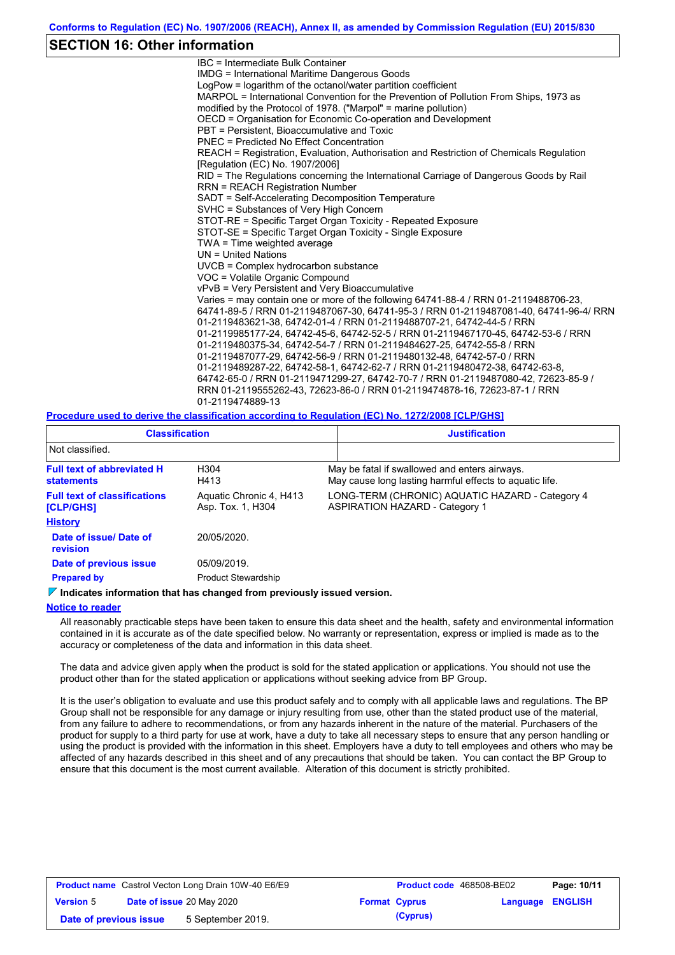### **SECTION 16: Other information**

IBC = Intermediate Bulk Container IMDG = International Maritime Dangerous Goods LogPow = logarithm of the octanol/water partition coefficient MARPOL = International Convention for the Prevention of Pollution From Ships, 1973 as modified by the Protocol of 1978. ("Marpol" = marine pollution) OECD = Organisation for Economic Co-operation and Development PBT = Persistent, Bioaccumulative and Toxic PNEC = Predicted No Effect Concentration REACH = Registration, Evaluation, Authorisation and Restriction of Chemicals Regulation [Regulation (EC) No. 1907/2006] RID = The Regulations concerning the International Carriage of Dangerous Goods by Rail RRN = REACH Registration Number SADT = Self-Accelerating Decomposition Temperature SVHC = Substances of Very High Concern STOT-RE = Specific Target Organ Toxicity - Repeated Exposure STOT-SE = Specific Target Organ Toxicity - Single Exposure TWA = Time weighted average UN = United Nations UVCB = Complex hydrocarbon substance VOC = Volatile Organic Compound vPvB = Very Persistent and Very Bioaccumulative Varies = may contain one or more of the following 64741-88-4 / RRN 01-2119488706-23, 64741-89-5 / RRN 01-2119487067-30, 64741-95-3 / RRN 01-2119487081-40, 64741-96-4/ RRN 01-2119483621-38, 64742-01-4 / RRN 01-2119488707-21, 64742-44-5 / RRN 01-2119985177-24, 64742-45-6, 64742-52-5 / RRN 01-2119467170-45, 64742-53-6 / RRN 01-2119480375-34, 64742-54-7 / RRN 01-2119484627-25, 64742-55-8 / RRN 01-2119487077-29, 64742-56-9 / RRN 01-2119480132-48, 64742-57-0 / RRN 01-2119489287-22, 64742-58-1, 64742-62-7 / RRN 01-2119480472-38, 64742-63-8, 64742-65-0 / RRN 01-2119471299-27, 64742-70-7 / RRN 01-2119487080-42, 72623-85-9 / RRN 01-2119555262-43, 72623-86-0 / RRN 01-2119474878-16, 72623-87-1 / RRN 01-2119474889-13

#### **Procedure used to derive the classification according to Regulation (EC) No. 1272/2008 [CLP/GHS]**

| <b>Classification</b><br>Not classified.                |                                              | <b>Justification</b>                                                                                     |
|---------------------------------------------------------|----------------------------------------------|----------------------------------------------------------------------------------------------------------|
|                                                         |                                              |                                                                                                          |
| <b>Full text of abbreviated H</b><br><b>statements</b>  | H <sub>304</sub><br>H413                     | May be fatal if swallowed and enters airways.<br>May cause long lasting harmful effects to aquatic life. |
| <b>Full text of classifications</b><br><b>[CLP/GHS]</b> | Aquatic Chronic 4, H413<br>Asp. Tox. 1, H304 | LONG-TERM (CHRONIC) AQUATIC HAZARD - Category 4<br><b>ASPIRATION HAZARD - Category 1</b>                 |
| <b>History</b>                                          |                                              |                                                                                                          |
| Date of issue/Date of<br><b>revision</b>                | 20/05/2020.                                  |                                                                                                          |
| Date of previous issue                                  | 05/09/2019.                                  |                                                                                                          |
| <b>Prepared by</b>                                      | <b>Product Stewardship</b>                   |                                                                                                          |

#### **Indicates information that has changed from previously issued version.**

#### **Notice to reader**

All reasonably practicable steps have been taken to ensure this data sheet and the health, safety and environmental information contained in it is accurate as of the date specified below. No warranty or representation, express or implied is made as to the accuracy or completeness of the data and information in this data sheet.

The data and advice given apply when the product is sold for the stated application or applications. You should not use the product other than for the stated application or applications without seeking advice from BP Group.

It is the user's obligation to evaluate and use this product safely and to comply with all applicable laws and regulations. The BP Group shall not be responsible for any damage or injury resulting from use, other than the stated product use of the material, from any failure to adhere to recommendations, or from any hazards inherent in the nature of the material. Purchasers of the product for supply to a third party for use at work, have a duty to take all necessary steps to ensure that any person handling or using the product is provided with the information in this sheet. Employers have a duty to tell employees and others who may be affected of any hazards described in this sheet and of any precautions that should be taken. You can contact the BP Group to ensure that this document is the most current available. Alteration of this document is strictly prohibited.

|                        | <b>Product name</b> Castrol Vecton Long Drain 10W-40 E6/E9 | <b>Product code</b> 468508-BE02 |                         | Page: 10/11 |
|------------------------|------------------------------------------------------------|---------------------------------|-------------------------|-------------|
| <b>Version 5</b>       | <b>Date of issue 20 May 2020</b>                           | <b>Format Cyprus</b>            | <b>Language ENGLISH</b> |             |
| Date of previous issue | 5 September 2019.                                          | (Cyprus)                        |                         |             |